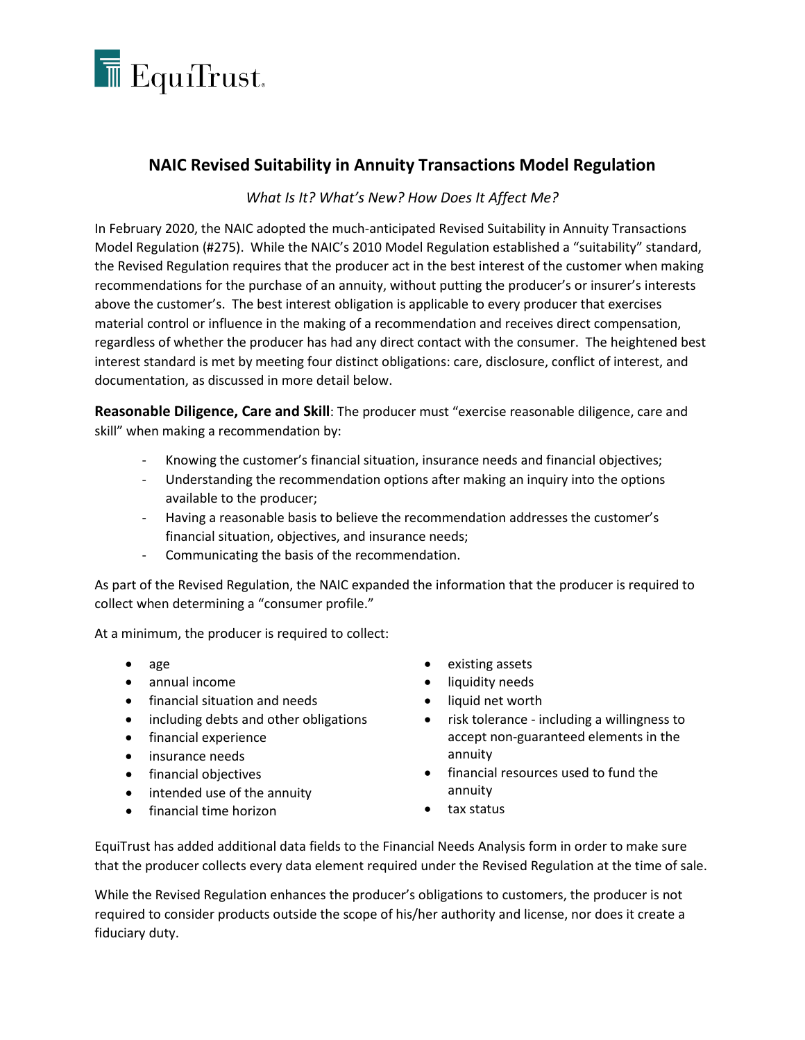

## **NAIC Revised Suitability in Annuity Transactions Model Regulation**

## *What Is It? What's New? How Does It Affect Me?*

In February 2020, the NAIC adopted the much-anticipated Revised Suitability in Annuity Transactions Model Regulation (#275). While the NAIC's 2010 Model Regulation established a "suitability" standard, the Revised Regulation requires that the producer act in the best interest of the customer when making recommendations for the purchase of an annuity, without putting the producer's or insurer's interests above the customer's. The best interest obligation is applicable to every producer that exercises material control or influence in the making of a recommendation and receives direct compensation, regardless of whether the producer has had any direct contact with the consumer. The heightened best interest standard is met by meeting four distinct obligations: care, disclosure, conflict of interest, and documentation, as discussed in more detail below.

**Reasonable Diligence, Care and Skill**: The producer must "exercise reasonable diligence, care and skill" when making a recommendation by:

- Knowing the customer's financial situation, insurance needs and financial objectives;
- Understanding the recommendation options after making an inquiry into the options available to the producer;
- Having a reasonable basis to believe the recommendation addresses the customer's financial situation, objectives, and insurance needs;
- Communicating the basis of the recommendation.

As part of the Revised Regulation, the NAIC expanded the information that the producer is required to collect when determining a "consumer profile."

At a minimum, the producer is required to collect:

- age
- annual income
- financial situation and needs
- including debts and other obligations
- financial experience
- insurance needs
- financial objectives
- intended use of the annuity
- financial time horizon
- existing assets
- liquidity needs
- liquid net worth
- risk tolerance including a willingness to accept non-guaranteed elements in the annuity
- financial resources used to fund the annuity
- tax status

EquiTrust has added additional data fields to the Financial Needs Analysis form in order to make sure that the producer collects every data element required under the Revised Regulation at the time of sale.

While the Revised Regulation enhances the producer's obligations to customers, the producer is not required to consider products outside the scope of his/her authority and license, nor does it create a fiduciary duty.